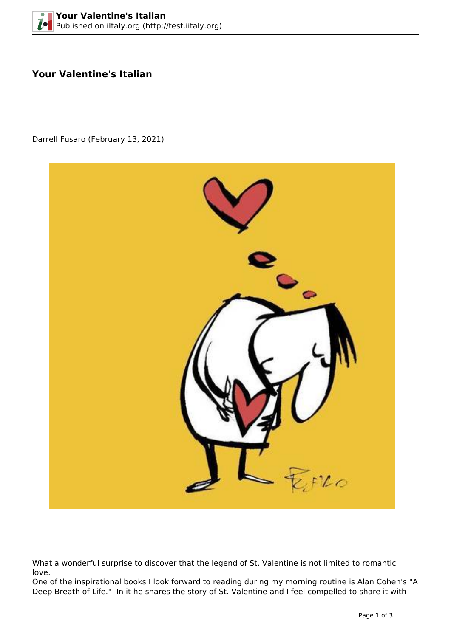## **Your Valentine's Italian**

Darrell Fusaro (February 13, 2021)



What a wonderful surprise to discover that the legend of St. Valentine is not limited to romantic love.

One of the inspirational books I look forward to reading during my morning routine is Alan Cohen's "A Deep Breath of Life." In it he shares the story of St. Valentine and I feel compelled to share it with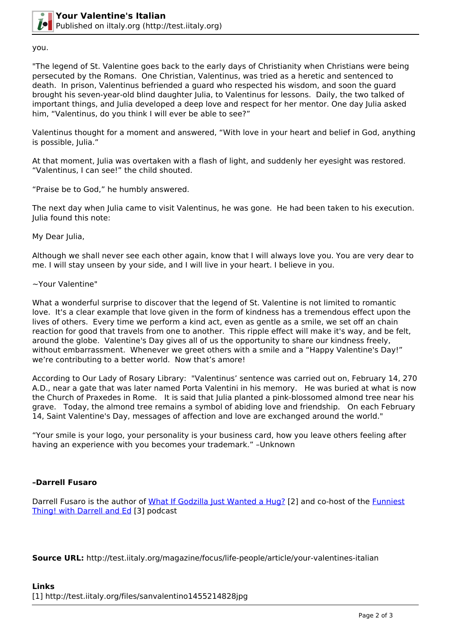

you.

"The legend of St. Valentine goes back to the early days of Christianity when Christians were being persecuted by the Romans. One Christian, Valentinus, was tried as a heretic and sentenced to death. In prison, Valentinus befriended a guard who respected his wisdom, and soon the guard brought his seven-year-old blind daughter Julia, to Valentinus for lessons. Daily, the two talked of important things, and Julia developed a deep love and respect for her mentor. One day Julia asked him, "Valentinus, do you think I will ever be able to see?"

Valentinus thought for a moment and answered, "With love in your heart and belief in God, anything is possible, Julia."

At that moment, Julia was overtaken with a flash of light, and suddenly her eyesight was restored. "Valentinus, I can see!" the child shouted.

"Praise be to God," he humbly answered.

The next day when Julia came to visit Valentinus, he was gone. He had been taken to his execution. Julia found this note:

My Dear Julia,

Although we shall never see each other again, know that I will always love you. You are very dear to me. I will stay unseen by your side, and I will live in your heart. I believe in you.

## ~Your Valentine"

What a wonderful surprise to discover that the legend of St. Valentine is not limited to romantic love. It's a clear example that love given in the form of kindness has a tremendous effect upon the lives of others. Every time we perform a kind act, even as gentle as a smile, we set off an chain reaction for good that travels from one to another. This ripple effect will make it's way, and be felt, around the globe. Valentine's Day gives all of us the opportunity to share our kindness freely, without embarrassment. Whenever we greet others with a smile and a "Happy Valentine's Day!" we're contributing to a better world. Now that's amore!

According to Our Lady of Rosary Library: "Valentinus' sentence was carried out on, February 14, 270 A.D., near a gate that was later named Porta Valentini in his memory. He was buried at what is now the Church of Praxedes in Rome. It is said that Julia planted a pink-blossomed almond tree near his grave. Today, the almond tree remains a symbol of abiding love and friendship. On each February 14, Saint Valentine's Day, messages of affection and love are exchanged around the world."

"Your smile is your logo, your personality is your business card, how you leave others feeling after having an experience with you becomes your trademark." –Unknown

## **–Darrell Fusaro**

Darrell Fusaro is the author of [What If Godzilla Just Wanted a Hug?](http://www.amazon.com/What-Godzilla-Just-Wanted-Hug/dp/1493627996/ref=sr_1_1?s=books&ie=UTF8&qid=1442589413&sr=1-1&keywords=what+if+godzilla+just+wanted+a+hug) [2] and co-host of the [Funniest](http://www.unity.fm/program/FunniestThing) [Thing! with Darrell and Ed](http://www.unity.fm/program/FunniestThing) [3] podcast

**Source URL:** http://test.iitaly.org/magazine/focus/life-people/article/your-valentines-italian